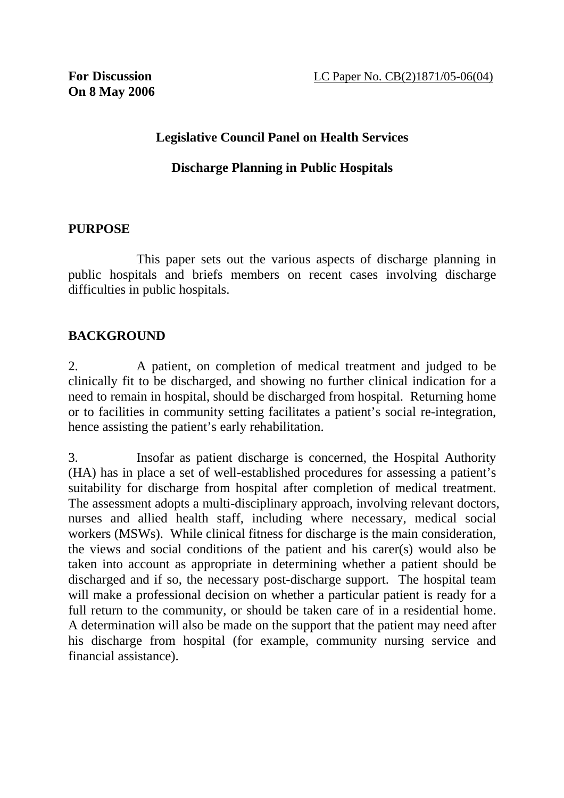#### **Legislative Council Panel on Health Services**

#### **Discharge Planning in Public Hospitals**

#### **PURPOSE**

 This paper sets out the various aspects of discharge planning in public hospitals and briefs members on recent cases involving discharge difficulties in public hospitals.

#### **BACKGROUND**

2. A patient, on completion of medical treatment and judged to be clinically fit to be discharged, and showing no further clinical indication for a need to remain in hospital, should be discharged from hospital. Returning home or to facilities in community setting facilitates a patient's social re-integration, hence assisting the patient's early rehabilitation.

3. Insofar as patient discharge is concerned, the Hospital Authority (HA) has in place a set of well-established procedures for assessing a patient's suitability for discharge from hospital after completion of medical treatment. The assessment adopts a multi-disciplinary approach, involving relevant doctors, nurses and allied health staff, including where necessary, medical social workers (MSWs). While clinical fitness for discharge is the main consideration, the views and social conditions of the patient and his carer(s) would also be taken into account as appropriate in determining whether a patient should be discharged and if so, the necessary post-discharge support. The hospital team will make a professional decision on whether a particular patient is ready for a full return to the community, or should be taken care of in a residential home. A determination will also be made on the support that the patient may need after his discharge from hospital (for example, community nursing service and financial assistance).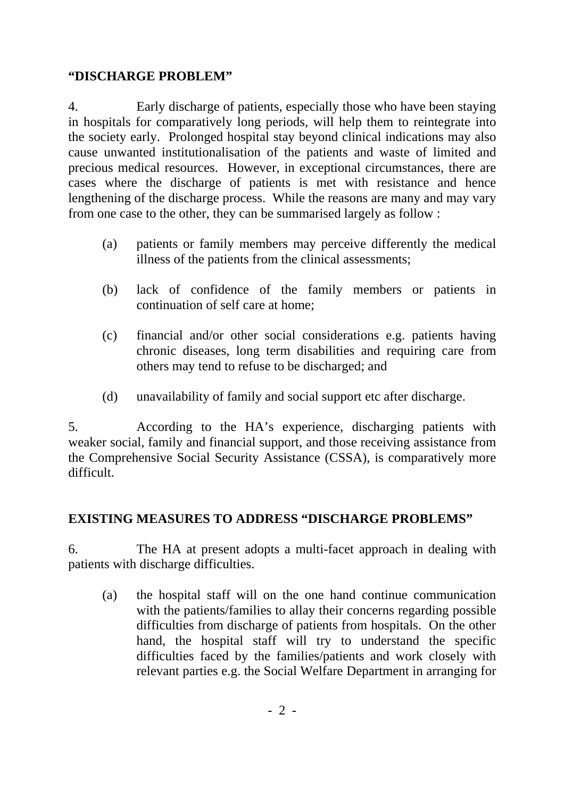#### **"DISCHARGE PROBLEM"**

4. Early discharge of patients, especially those who have been staying in hospitals for comparatively long periods, will help them to reintegrate into the society early. Prolonged hospital stay beyond clinical indications may also cause unwanted institutionalisation of the patients and waste of limited and precious medical resources. However, in exceptional circumstances, there are cases where the discharge of patients is met with resistance and hence lengthening of the discharge process. While the reasons are many and may vary from one case to the other, they can be summarised largely as follow :

- (a) patients or family members may perceive differently the medical illness of the patients from the clinical assessments;
- (b) lack of confidence of the family members or patients in continuation of self care at home;
- (c) financial and/or other social considerations e.g. patients having chronic diseases, long term disabilities and requiring care from others may tend to refuse to be discharged; and
- (d) unavailability of family and social support etc after discharge.

5. According to the HA's experience, discharging patients with weaker social, family and financial support, and those receiving assistance from the Comprehensive Social Security Assistance (CSSA), is comparatively more difficult.

## **EXISTING MEASURES TO ADDRESS "DISCHARGE PROBLEMS"**

6. The HA at present adopts a multi-facet approach in dealing with patients with discharge difficulties.

(a) the hospital staff will on the one hand continue communication with the patients/families to allay their concerns regarding possible difficulties from discharge of patients from hospitals. On the other hand, the hospital staff will try to understand the specific difficulties faced by the families/patients and work closely with relevant parties e.g. the Social Welfare Department in arranging for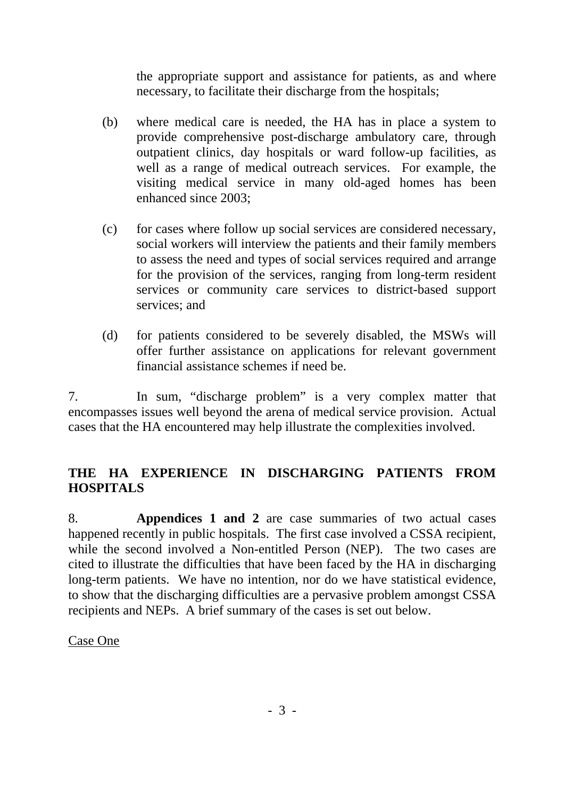the appropriate support and assistance for patients, as and where necessary, to facilitate their discharge from the hospitals;

- (b) where medical care is needed, the HA has in place a system to provide comprehensive post-discharge ambulatory care, through outpatient clinics, day hospitals or ward follow-up facilities, as well as a range of medical outreach services. For example, the visiting medical service in many old-aged homes has been enhanced since 2003;
- (c) for cases where follow up social services are considered necessary, social workers will interview the patients and their family members to assess the need and types of social services required and arrange for the provision of the services, ranging from long-term resident services or community care services to district-based support services; and
- (d) for patients considered to be severely disabled, the MSWs will offer further assistance on applications for relevant government financial assistance schemes if need be.

7. In sum, "discharge problem" is a very complex matter that encompasses issues well beyond the arena of medical service provision. Actual cases that the HA encountered may help illustrate the complexities involved.

## **THE HA EXPERIENCE IN DISCHARGING PATIENTS FROM HOSPITALS**

8. **Appendices 1 and 2** are case summaries of two actual cases happened recently in public hospitals. The first case involved a CSSA recipient, while the second involved a Non-entitled Person (NEP). The two cases are cited to illustrate the difficulties that have been faced by the HA in discharging long-term patients. We have no intention, nor do we have statistical evidence, to show that the discharging difficulties are a pervasive problem amongst CSSA recipients and NEPs. A brief summary of the cases is set out below.

Case One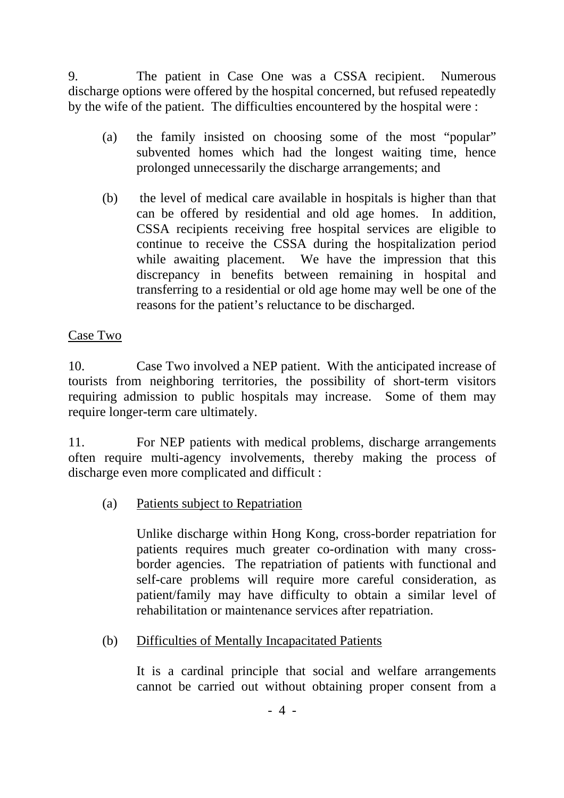9. The patient in Case One was a CSSA recipient. Numerous discharge options were offered by the hospital concerned, but refused repeatedly by the wife of the patient. The difficulties encountered by the hospital were :

- (a) the family insisted on choosing some of the most "popular" subvented homes which had the longest waiting time, hence prolonged unnecessarily the discharge arrangements; and
- (b) the level of medical care available in hospitals is higher than that can be offered by residential and old age homes. In addition, CSSA recipients receiving free hospital services are eligible to continue to receive the CSSA during the hospitalization period while awaiting placement. We have the impression that this discrepancy in benefits between remaining in hospital and transferring to a residential or old age home may well be one of the reasons for the patient's reluctance to be discharged.

## Case Two

10. Case Two involved a NEP patient. With the anticipated increase of tourists from neighboring territories, the possibility of short-term visitors requiring admission to public hospitals may increase. Some of them may require longer-term care ultimately.

11. For NEP patients with medical problems, discharge arrangements often require multi-agency involvements, thereby making the process of discharge even more complicated and difficult :

(a) Patients subject to Repatriation

Unlike discharge within Hong Kong, cross-border repatriation for patients requires much greater co-ordination with many crossborder agencies. The repatriation of patients with functional and self-care problems will require more careful consideration, as patient/family may have difficulty to obtain a similar level of rehabilitation or maintenance services after repatriation.

(b) Difficulties of Mentally Incapacitated Patients

It is a cardinal principle that social and welfare arrangements cannot be carried out without obtaining proper consent from a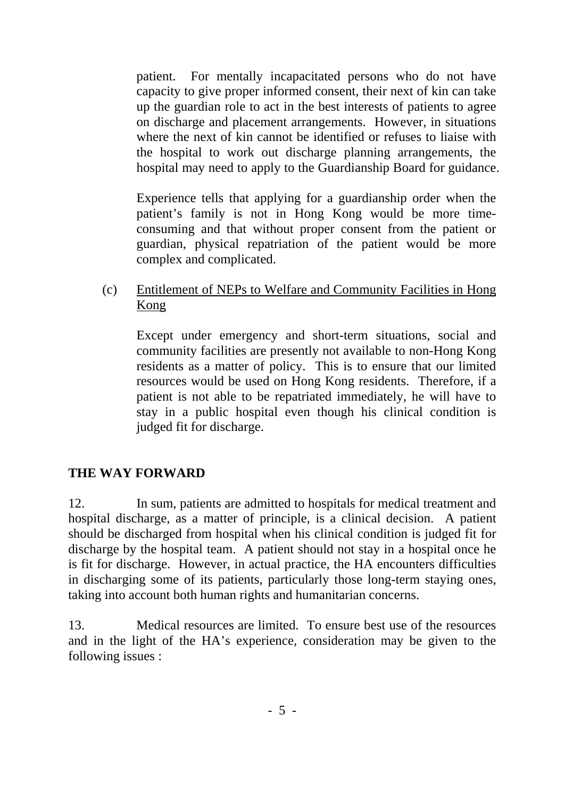patient. For mentally incapacitated persons who do not have capacity to give proper informed consent, their next of kin can take up the guardian role to act in the best interests of patients to agree on discharge and placement arrangements. However, in situations where the next of kin cannot be identified or refuses to liaise with the hospital to work out discharge planning arrangements, the hospital may need to apply to the Guardianship Board for guidance.

Experience tells that applying for a guardianship order when the patient's family is not in Hong Kong would be more timeconsuming and that without proper consent from the patient or guardian, physical repatriation of the patient would be more complex and complicated.

(c) Entitlement of NEPs to Welfare and Community Facilities in Hong Kong

Except under emergency and short-term situations, social and community facilities are presently not available to non-Hong Kong residents as a matter of policy. This is to ensure that our limited resources would be used on Hong Kong residents. Therefore, if a patient is not able to be repatriated immediately, he will have to stay in a public hospital even though his clinical condition is judged fit for discharge.

## **THE WAY FORWARD**

12. In sum, patients are admitted to hospitals for medical treatment and hospital discharge, as a matter of principle, is a clinical decision. A patient should be discharged from hospital when his clinical condition is judged fit for discharge by the hospital team. A patient should not stay in a hospital once he is fit for discharge. However, in actual practice, the HA encounters difficulties in discharging some of its patients, particularly those long-term staying ones, taking into account both human rights and humanitarian concerns.

13. Medical resources are limited. To ensure best use of the resources and in the light of the HA's experience, consideration may be given to the following issues :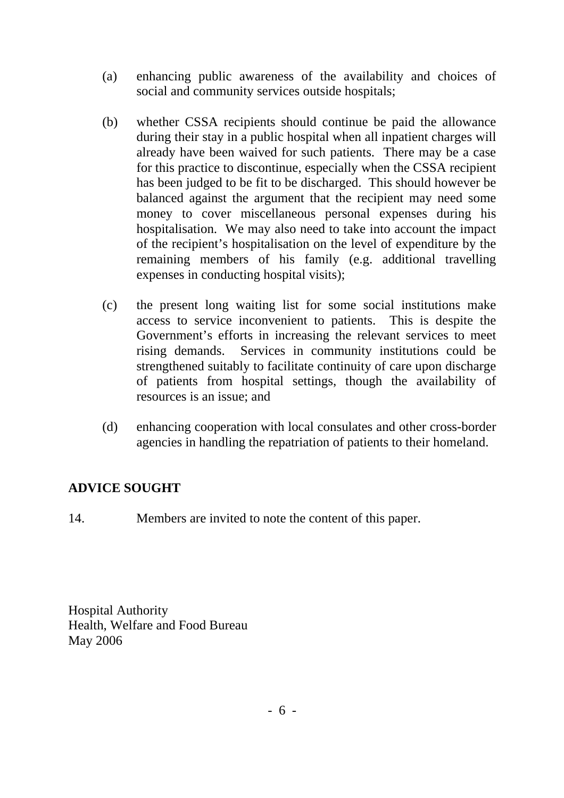- (a) enhancing public awareness of the availability and choices of social and community services outside hospitals;
- (b) whether CSSA recipients should continue be paid the allowance during their stay in a public hospital when all inpatient charges will already have been waived for such patients. There may be a case for this practice to discontinue, especially when the CSSA recipient has been judged to be fit to be discharged. This should however be balanced against the argument that the recipient may need some money to cover miscellaneous personal expenses during his hospitalisation. We may also need to take into account the impact of the recipient's hospitalisation on the level of expenditure by the remaining members of his family (e.g. additional travelling expenses in conducting hospital visits);
- (c) the present long waiting list for some social institutions make access to service inconvenient to patients. This is despite the Government's efforts in increasing the relevant services to meet rising demands. Services in community institutions could be strengthened suitably to facilitate continuity of care upon discharge of patients from hospital settings, though the availability of resources is an issue; and
- (d) enhancing cooperation with local consulates and other cross-border agencies in handling the repatriation of patients to their homeland.

# **ADVICE SOUGHT**

14. Members are invited to note the content of this paper.

Hospital Authority Health, Welfare and Food Bureau May 2006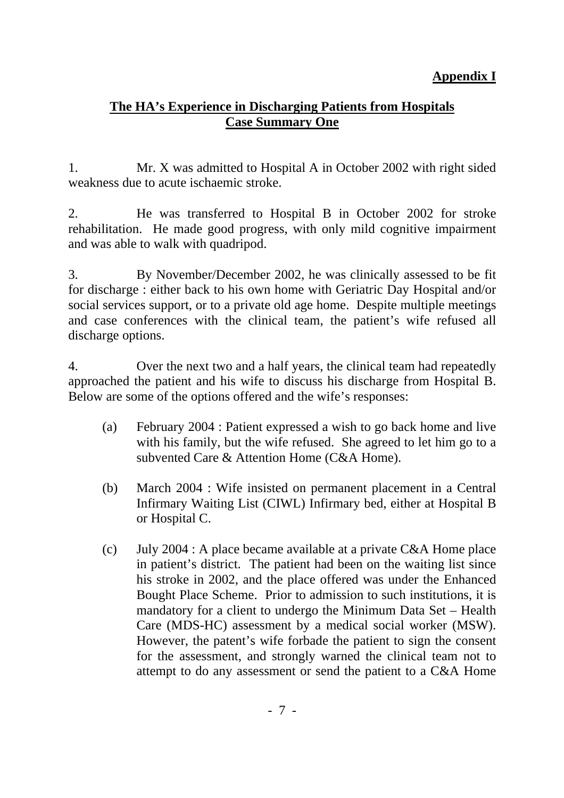# **Appendix I**

# **The HA's Experience in Discharging Patients from Hospitals Case Summary One**

1. Mr. X was admitted to Hospital A in October 2002 with right sided weakness due to acute ischaemic stroke.

2. He was transferred to Hospital B in October 2002 for stroke rehabilitation. He made good progress, with only mild cognitive impairment and was able to walk with quadripod.

3. By November/December 2002, he was clinically assessed to be fit for discharge : either back to his own home with Geriatric Day Hospital and/or social services support, or to a private old age home. Despite multiple meetings and case conferences with the clinical team, the patient's wife refused all discharge options.

4. Over the next two and a half years, the clinical team had repeatedly approached the patient and his wife to discuss his discharge from Hospital B. Below are some of the options offered and the wife's responses:

- (a) February 2004 : Patient expressed a wish to go back home and live with his family, but the wife refused. She agreed to let him go to a subvented Care & Attention Home (C&A Home).
- (b) March 2004 : Wife insisted on permanent placement in a Central Infirmary Waiting List (CIWL) Infirmary bed, either at Hospital B or Hospital C.
- (c) July 2004 : A place became available at a private C&A Home place in patient's district. The patient had been on the waiting list since his stroke in 2002, and the place offered was under the Enhanced Bought Place Scheme. Prior to admission to such institutions, it is mandatory for a client to undergo the Minimum Data Set – Health Care (MDS-HC) assessment by a medical social worker (MSW). However, the patent's wife forbade the patient to sign the consent for the assessment, and strongly warned the clinical team not to attempt to do any assessment or send the patient to a C&A Home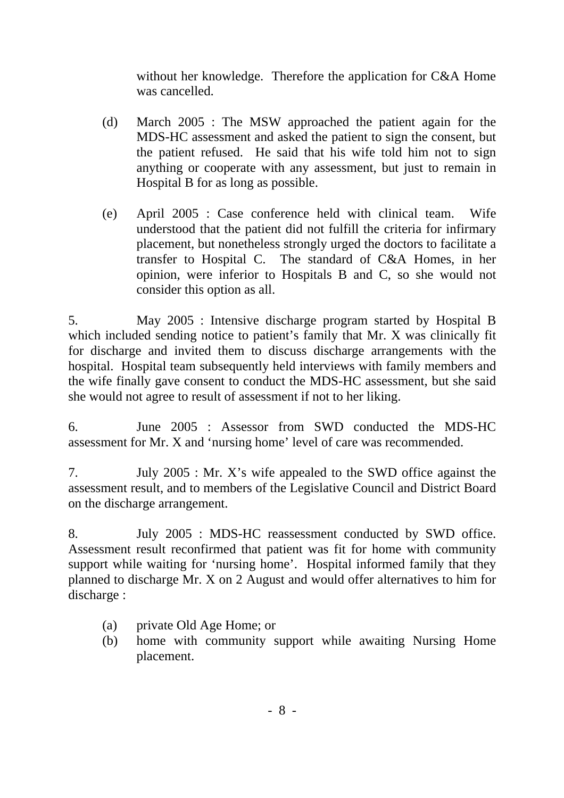without her knowledge. Therefore the application for C&A Home was cancelled.

- (d) March 2005 : The MSW approached the patient again for the MDS-HC assessment and asked the patient to sign the consent, but the patient refused. He said that his wife told him not to sign anything or cooperate with any assessment, but just to remain in Hospital B for as long as possible.
- (e) April 2005 : Case conference held with clinical team. Wife understood that the patient did not fulfill the criteria for infirmary placement, but nonetheless strongly urged the doctors to facilitate a transfer to Hospital C. The standard of C&A Homes, in her opinion, were inferior to Hospitals B and C, so she would not consider this option as all.

5. May 2005 : Intensive discharge program started by Hospital B which included sending notice to patient's family that Mr. X was clinically fit for discharge and invited them to discuss discharge arrangements with the hospital. Hospital team subsequently held interviews with family members and the wife finally gave consent to conduct the MDS-HC assessment, but she said she would not agree to result of assessment if not to her liking.

6. June 2005 : Assessor from SWD conducted the MDS-HC assessment for Mr. X and 'nursing home' level of care was recommended.

7. July 2005 : Mr. X's wife appealed to the SWD office against the assessment result, and to members of the Legislative Council and District Board on the discharge arrangement.

8. July 2005 : MDS-HC reassessment conducted by SWD office. Assessment result reconfirmed that patient was fit for home with community support while waiting for 'nursing home'. Hospital informed family that they planned to discharge Mr. X on 2 August and would offer alternatives to him for discharge :

- (a) private Old Age Home; or
- (b) home with community support while awaiting Nursing Home placement.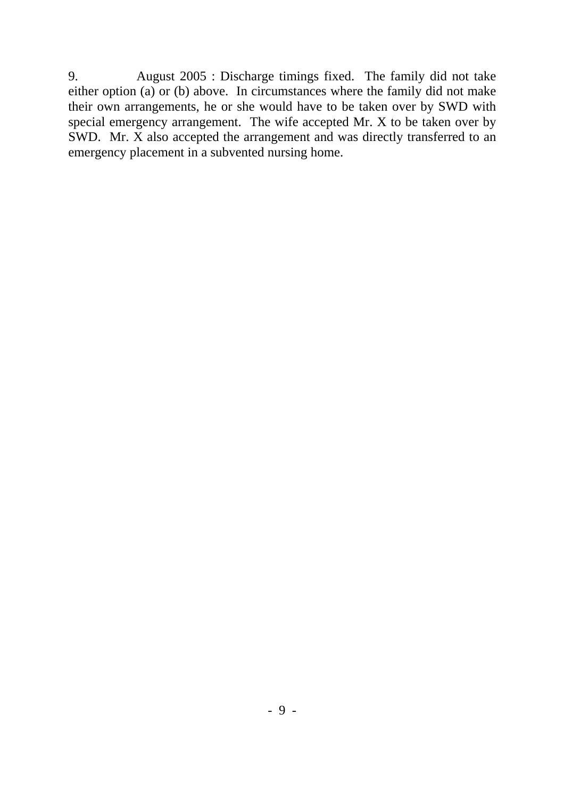9. August 2005 : Discharge timings fixed. The family did not take either option (a) or (b) above. In circumstances where the family did not make their own arrangements, he or she would have to be taken over by SWD with special emergency arrangement. The wife accepted Mr. X to be taken over by SWD. Mr. X also accepted the arrangement and was directly transferred to an emergency placement in a subvented nursing home.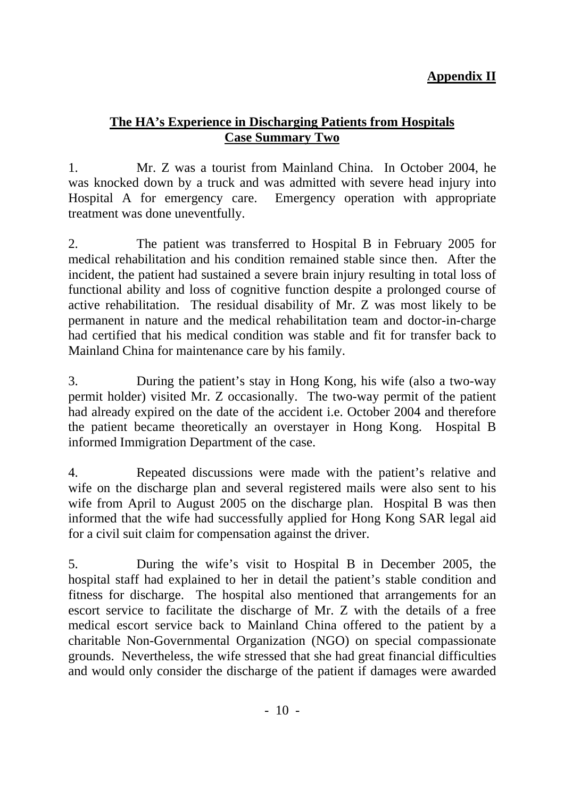# **Appendix II**

## **The HA's Experience in Discharging Patients from Hospitals Case Summary Two**

1. Mr. Z was a tourist from Mainland China. In October 2004, he was knocked down by a truck and was admitted with severe head injury into Hospital A for emergency care. Emergency operation with appropriate treatment was done uneventfully.

2. The patient was transferred to Hospital B in February 2005 for medical rehabilitation and his condition remained stable since then. After the incident, the patient had sustained a severe brain injury resulting in total loss of functional ability and loss of cognitive function despite a prolonged course of active rehabilitation. The residual disability of Mr. Z was most likely to be permanent in nature and the medical rehabilitation team and doctor-in-charge had certified that his medical condition was stable and fit for transfer back to Mainland China for maintenance care by his family.

3. During the patient's stay in Hong Kong, his wife (also a two-way permit holder) visited Mr. Z occasionally. The two-way permit of the patient had already expired on the date of the accident i.e. October 2004 and therefore the patient became theoretically an overstayer in Hong Kong. Hospital B informed Immigration Department of the case.

4. Repeated discussions were made with the patient's relative and wife on the discharge plan and several registered mails were also sent to his wife from April to August 2005 on the discharge plan. Hospital B was then informed that the wife had successfully applied for Hong Kong SAR legal aid for a civil suit claim for compensation against the driver.

5. During the wife's visit to Hospital B in December 2005, the hospital staff had explained to her in detail the patient's stable condition and fitness for discharge. The hospital also mentioned that arrangements for an escort service to facilitate the discharge of Mr. Z with the details of a free medical escort service back to Mainland China offered to the patient by a charitable Non-Governmental Organization (NGO) on special compassionate grounds. Nevertheless, the wife stressed that she had great financial difficulties and would only consider the discharge of the patient if damages were awarded